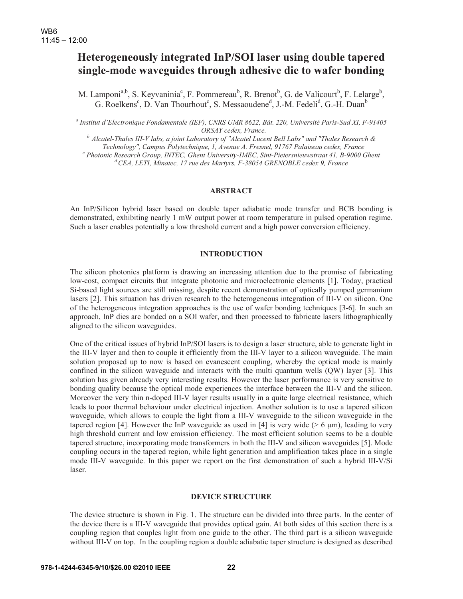# **Heterogeneously integrated InP/SOI laser using double tapered single-mode waveguides through adhesive die to wafer bonding**

M. Lamponi<sup>a,b</sup>, S. Keyvaninia<sup>c</sup>, F. Pommereau<sup>b</sup>, R. Brenot<sup>b</sup>, G. de Valicourt<sup>b</sup>, F. Lelarge<sup>b</sup>, G. Roelkens<sup>c</sup>, D. Van Thourhout<sup>c</sup>, S. Messaoudene<sup>d</sup>, J.-M. Fedeli<sup>d</sup>, G.-H. Duan<sup>b</sup>

a<br> *Anstitut d'Electronique Fondamentale (IEF), CNRS UMR 8622, Bât. 220, Université Paris-Sud XI, F-91405 ORSAY cedex, France. b Alcatel-Thales III-V labs, a joint Laboratory of "Alcatel Lucent Bell Labs" and "Thales Research &* 

*Technology", Campus Polytechnique, 1, Avenue A. Fresnel, 91767 Palaiseau cedex, France c*

 *Photonic Research Group, INTEC, Ghent University-IMEC, Sint-Pietersnieuwstraat 41, B-9000 Ghent d CEA, LETI, Minatec, 17 rue des Martyrs, F-38054 GRENOBLE cedex 9, France* 

# **ABSTRACT**

An InP/Silicon hybrid laser based on double taper adiabatic mode transfer and BCB bonding is demonstrated, exhibiting nearly 1 mW output power at room temperature in pulsed operation regime. Such a laser enables potentially a low threshold current and a high power conversion efficiency.

# **INTRODUCTION**

The silicon photonics platform is drawing an increasing attention due to the promise of fabricating low-cost, compact circuits that integrate photonic and microelectronic elements [1]. Today, practical Si-based light sources are still missing, despite recent demonstration of optically pumped germanium lasers [2]. This situation has driven research to the heterogeneous integration of III-V on silicon. One of the heterogeneous integration approaches is the use of wafer bonding techniques [3-6]. In such an approach, InP dies are bonded on a SOI wafer, and then processed to fabricate lasers lithographically aligned to the silicon waveguides.

One of the critical issues of hybrid InP/SOI lasers is to design a laser structure, able to generate light in the III-V layer and then to couple it efficiently from the III-V layer to a silicon waveguide. The main solution proposed up to now is based on evanescent coupling, whereby the optical mode is mainly confined in the silicon waveguide and interacts with the multi quantum wells (QW) layer [3]. This solution has given already very interesting results. However the laser performance is very sensitive to bonding quality because the optical mode experiences the interface between the III-V and the silicon. Moreover the very thin n-doped III-V layer results usually in a quite large electrical resistance, which leads to poor thermal behaviour under electrical injection. Another solution is to use a tapered silicon waveguide, which allows to couple the light from a III-V waveguide to the silicon waveguide in the tapered region [4]. However the InP waveguide as used in [4] is very wide ( $> 6 \mu m$ ), leading to very high threshold current and low emission efficiency. The most efficient solution seems to be a double tapered structure, incorporating mode transformers in both the III-V and silicon waveguides [5]. Mode coupling occurs in the tapered region, while light generation and amplification takes place in a single mode III-V waveguide. In this paper we report on the first demonstration of such a hybrid III-V/Si laser.

#### **DEVICE STRUCTURE**

The device structure is shown in Fig. 1. The structure can be divided into three parts. In the center of the device there is a III-V waveguide that provides optical gain. At both sides of this section there is a coupling region that couples light from one guide to the other. The third part is a silicon waveguide without III-V on top. In the coupling region a double adiabatic taper structure is designed as described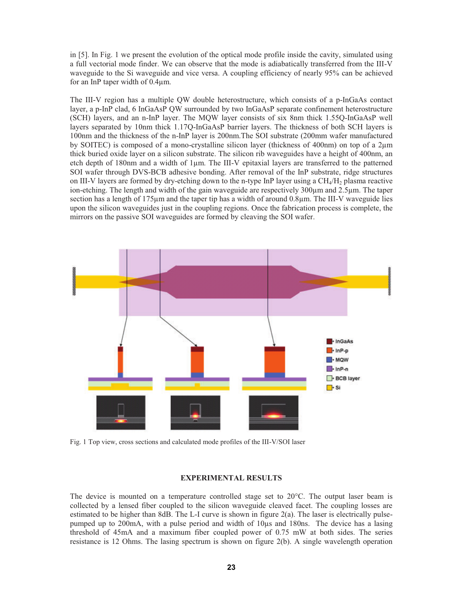in [5]. In Fig. 1 we present the evolution of the optical mode profile inside the cavity, simulated using a full vectorial mode finder. We can observe that the mode is adiabatically transferred from the III-V waveguide to the Si waveguide and vice versa. A coupling efficiency of nearly 95% can be achieved for an InP taper width of 0.4μm.

The III-V region has a multiple QW double heterostructure, which consists of a p-InGaAs contact layer, a p-InP clad, 6 InGaAsP QW surrounded by two InGaAsP separate confinement heterostructure (SCH) layers, and an n-InP layer. The MQW layer consists of six 8nm thick 1.55Q-InGaAsP well layers separated by 10nm thick 1.17Q-InGaAsP barrier layers. The thickness of both SCH layers is 100nm and the thickness of the n-InP layer is 200nm.The SOI substrate (200mm wafer manufactured by SOITEC) is composed of a mono-crystalline silicon layer (thickness of 400nm) on top of a 2μm thick buried oxide layer on a silicon substrate. The silicon rib waveguides have a height of 400nm, an etch depth of 180nm and a width of 1μm. The III-V epitaxial layers are transferred to the patterned SOI wafer through DVS-BCB adhesive bonding. After removal of the InP substrate, ridge structures on III-V layers are formed by dry-etching down to the n-type InP layer using a  $CH<sub>4</sub>/H<sub>2</sub>$  plasma reactive ion-etching. The length and width of the gain waveguide are respectively 300μm and 2.5μm. The taper section has a length of 175μm and the taper tip has a width of around 0.8μm. The III-V waveguide lies upon the silicon waveguides just in the coupling regions. Once the fabrication process is complete, the mirrors on the passive SOI waveguides are formed by cleaving the SOI wafer.



Fig. 1 Top view, cross sections and calculated mode profiles of the III-V/SOI laser

### **EXPERIMENTAL RESULTS**

The device is mounted on a temperature controlled stage set to 20°C. The output laser beam is collected by a lensed fiber coupled to the silicon waveguide cleaved facet. The coupling losses are estimated to be higher than 8dB. The L-I curve is shown in figure 2(a). The laser is electrically pulsepumped up to 200mA, with a pulse period and width of 10μs and 180ns. The device has a lasing threshold of 45mA and a maximum fiber coupled power of 0.75 mW at both sides. The series resistance is 12 Ohms. The lasing spectrum is shown on figure 2(b). A single wavelength operation